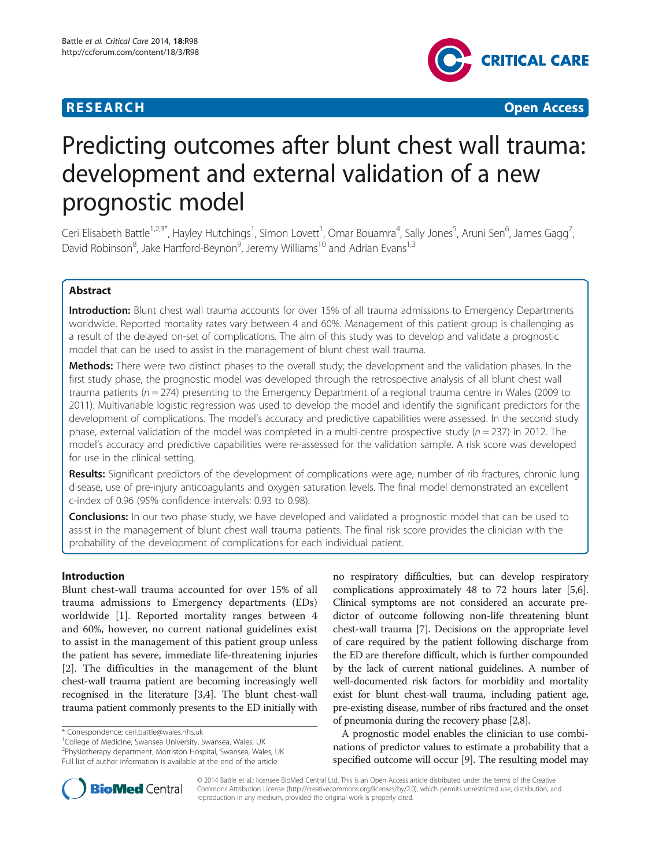# **RESEARCH CHEAR CHEAR CHEAR CHEAR CHEAR CHEAR CHEAR CHEAR CHEAR CHEAR CHEAR CHEAR CHEAR CHEAR CHEAR CHEAR CHEAR**



# Predicting outcomes after blunt chest wall trauma: development and external validation of a new prognostic model

Ceri Elisabeth Battle<sup>1,2,3\*</sup>, Hayley Hutchings<sup>1</sup>, Simon Lovett<sup>1</sup>, Omar Bouamra<sup>4</sup>, Sally Jones<sup>5</sup>, Aruni Sen<sup>6</sup>, James Gagg<sup>7</sup> , David Robinson<sup>8</sup>, Jake Hartford-Beynon<sup>9</sup>, Jeremy Williams<sup>10</sup> and Adrian Evans<sup>1,3</sup>

# Abstract

Introduction: Blunt chest wall trauma accounts for over 15% of all trauma admissions to Emergency Departments worldwide. Reported mortality rates vary between 4 and 60%. Management of this patient group is challenging as a result of the delayed on-set of complications. The aim of this study was to develop and validate a prognostic model that can be used to assist in the management of blunt chest wall trauma.

Methods: There were two distinct phases to the overall study; the development and the validation phases. In the first study phase, the prognostic model was developed through the retrospective analysis of all blunt chest wall trauma patients (n = 274) presenting to the Emergency Department of a regional trauma centre in Wales (2009 to 2011). Multivariable logistic regression was used to develop the model and identify the significant predictors for the development of complications. The model's accuracy and predictive capabilities were assessed. In the second study phase, external validation of the model was completed in a multi-centre prospective study ( $n = 237$ ) in 2012. The model's accuracy and predictive capabilities were re-assessed for the validation sample. A risk score was developed for use in the clinical setting.

Results: Significant predictors of the development of complications were age, number of rib fractures, chronic lung disease, use of pre-injury anticoagulants and oxygen saturation levels. The final model demonstrated an excellent c-index of 0.96 (95% confidence intervals: 0.93 to 0.98).

**Conclusions:** In our two phase study, we have developed and validated a prognostic model that can be used to assist in the management of blunt chest wall trauma patients. The final risk score provides the clinician with the probability of the development of complications for each individual patient.

# Introduction

Blunt chest-wall trauma accounted for over 15% of all trauma admissions to Emergency departments (EDs) worldwide [[1\]](#page-6-0). Reported mortality ranges between 4 and 60%, however, no current national guidelines exist to assist in the management of this patient group unless the patient has severe, immediate life-threatening injuries [[2\]](#page-6-0). The difficulties in the management of the blunt chest-wall trauma patient are becoming increasingly well recognised in the literature [[3,4](#page-6-0)]. The blunt chest-wall trauma patient commonly presents to the ED initially with

2 Physiotherapy department, Morriston Hospital, Swansea, Wales, UK Full list of author information is available at the end of the article

no respiratory difficulties, but can develop respiratory complications approximately 48 to 72 hours later [[5](#page-6-0),[6](#page-6-0)]. Clinical symptoms are not considered an accurate predictor of outcome following non-life threatening blunt chest-wall trauma [\[7\]](#page-6-0). Decisions on the appropriate level of care required by the patient following discharge from the ED are therefore difficult, which is further compounded by the lack of current national guidelines. A number of well-documented risk factors for morbidity and mortality exist for blunt chest-wall trauma, including patient age, pre-existing disease, number of ribs fractured and the onset of pneumonia during the recovery phase [\[2,8](#page-6-0)].

A prognostic model enables the clinician to use combinations of predictor values to estimate a probability that a specified outcome will occur [\[9](#page-6-0)]. The resulting model may



© 2014 Battle et al.; licensee BioMed Central Ltd. This is an Open Access article distributed under the terms of the Creative Commons Attribution License [\(http://creativecommons.org/licenses/by/2.0\)](http://creativecommons.org/licenses/by/2.0), which permits unrestricted use, distribution, and reproduction in any medium, provided the original work is properly cited.

<sup>\*</sup> Correspondence: [ceri.battle@wales.nhs.uk](mailto:ceri.battle@wales.nhs.uk) <sup>1</sup>

<sup>&</sup>lt;sup>1</sup>College of Medicine, Swansea University, Swansea, Wales, UK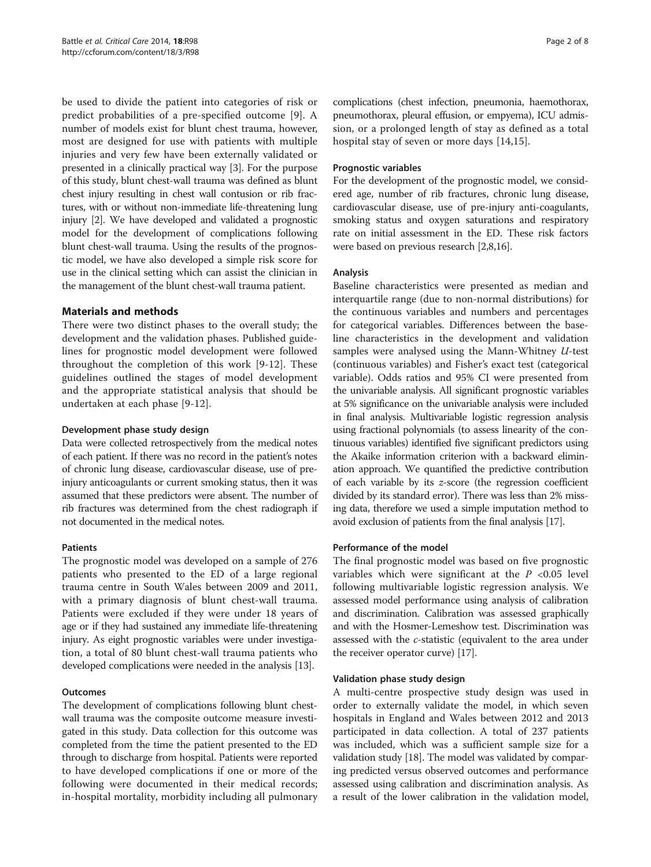be used to divide the patient into categories of risk or predict probabilities of a pre-specified outcome [[9\]](#page-6-0). A number of models exist for blunt chest trauma, however, most are designed for use with patients with multiple injuries and very few have been externally validated or presented in a clinically practical way [\[3](#page-6-0)]. For the purpose of this study, blunt chest-wall trauma was defined as blunt chest injury resulting in chest wall contusion or rib fractures, with or without non-immediate life-threatening lung injury [\[2](#page-6-0)]. We have developed and validated a prognostic model for the development of complications following blunt chest-wall trauma. Using the results of the prognostic model, we have also developed a simple risk score for use in the clinical setting which can assist the clinician in the management of the blunt chest-wall trauma patient.

# Materials and methods

There were two distinct phases to the overall study; the development and the validation phases. Published guidelines for prognostic model development were followed throughout the completion of this work [\[9](#page-6-0)-[12](#page-6-0)]. These guidelines outlined the stages of model development and the appropriate statistical analysis that should be undertaken at each phase [\[9](#page-6-0)-[12\]](#page-6-0).

#### Development phase study design

Data were collected retrospectively from the medical notes of each patient. If there was no record in the patient's notes of chronic lung disease, cardiovascular disease, use of preinjury anticoagulants or current smoking status, then it was assumed that these predictors were absent. The number of rib fractures was determined from the chest radiograph if not documented in the medical notes.

#### Patients

The prognostic model was developed on a sample of 276 patients who presented to the ED of a large regional trauma centre in South Wales between 2009 and 2011, with a primary diagnosis of blunt chest-wall trauma. Patients were excluded if they were under 18 years of age or if they had sustained any immediate life-threatening injury. As eight prognostic variables were under investigation, a total of 80 blunt chest-wall trauma patients who developed complications were needed in the analysis [[13](#page-6-0)].

#### **Outcomes**

The development of complications following blunt chestwall trauma was the composite outcome measure investigated in this study. Data collection for this outcome was completed from the time the patient presented to the ED through to discharge from hospital. Patients were reported to have developed complications if one or more of the following were documented in their medical records; in-hospital mortality, morbidity including all pulmonary

complications (chest infection, pneumonia, haemothorax, pneumothorax, pleural effusion, or empyema), ICU admission, or a prolonged length of stay as defined as a total hospital stay of seven or more days [[14,15\]](#page-6-0).

#### Prognostic variables

For the development of the prognostic model, we considered age, number of rib fractures, chronic lung disease, cardiovascular disease, use of pre-injury anti-coagulants, smoking status and oxygen saturations and respiratory rate on initial assessment in the ED. These risk factors were based on previous research [\[2,8,16\]](#page-6-0).

# Analysis

Baseline characteristics were presented as median and interquartile range (due to non-normal distributions) for the continuous variables and numbers and percentages for categorical variables. Differences between the baseline characteristics in the development and validation samples were analysed using the Mann-Whitney U-test (continuous variables) and Fisher's exact test (categorical variable). Odds ratios and 95% CI were presented from the univariable analysis. All significant prognostic variables at 5% significance on the univariable analysis were included in final analysis. Multivariable logistic regression analysis using fractional polynomials (to assess linearity of the continuous variables) identified five significant predictors using the Akaike information criterion with a backward elimination approach. We quantified the predictive contribution of each variable by its z-score (the regression coefficient divided by its standard error). There was less than 2% missing data, therefore we used a simple imputation method to avoid exclusion of patients from the final analysis [\[17\]](#page-6-0).

#### Performance of the model

The final prognostic model was based on five prognostic variables which were significant at the  $P < 0.05$  level following multivariable logistic regression analysis. We assessed model performance using analysis of calibration and discrimination. Calibration was assessed graphically and with the Hosmer-Lemeshow test. Discrimination was assessed with the c-statistic (equivalent to the area under the receiver operator curve) [[17](#page-6-0)].

#### Validation phase study design

A multi-centre prospective study design was used in order to externally validate the model, in which seven hospitals in England and Wales between 2012 and 2013 participated in data collection. A total of 237 patients was included, which was a sufficient sample size for a validation study [\[18](#page-7-0)]. The model was validated by comparing predicted versus observed outcomes and performance assessed using calibration and discrimination analysis. As a result of the lower calibration in the validation model,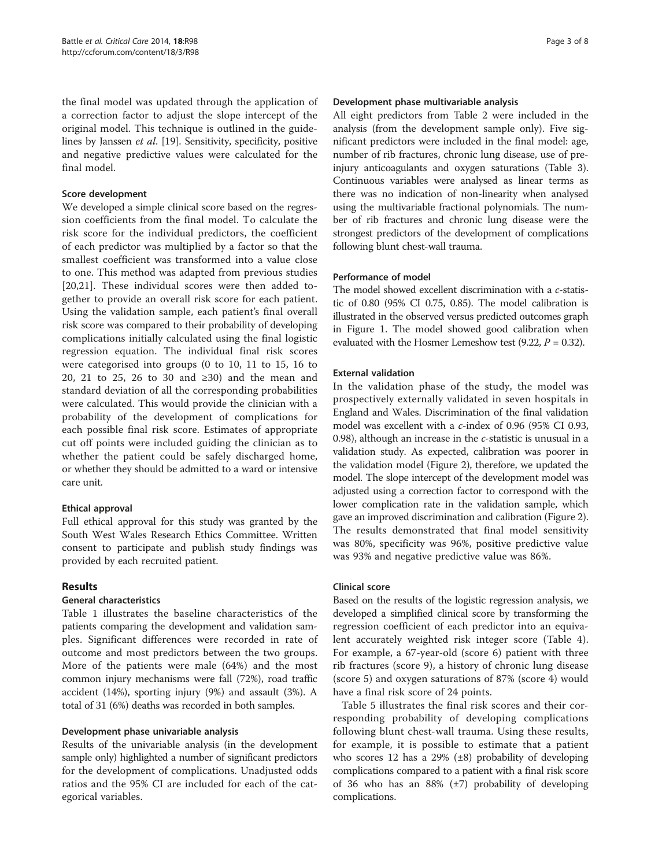the final model was updated through the application of a correction factor to adjust the slope intercept of the original model. This technique is outlined in the guidelines by Janssen et al. [[19\]](#page-7-0). Sensitivity, specificity, positive and negative predictive values were calculated for the final model.

#### Score development

We developed a simple clinical score based on the regression coefficients from the final model. To calculate the risk score for the individual predictors, the coefficient of each predictor was multiplied by a factor so that the smallest coefficient was transformed into a value close to one. This method was adapted from previous studies [[20,21](#page-7-0)]. These individual scores were then added together to provide an overall risk score for each patient. Using the validation sample, each patient's final overall risk score was compared to their probability of developing complications initially calculated using the final logistic regression equation. The individual final risk scores were categorised into groups (0 to 10, 11 to 15, 16 to 20, 21 to 25, 26 to 30 and ≥30) and the mean and standard deviation of all the corresponding probabilities were calculated. This would provide the clinician with a probability of the development of complications for each possible final risk score. Estimates of appropriate cut off points were included guiding the clinician as to whether the patient could be safely discharged home, or whether they should be admitted to a ward or intensive care unit.

# Ethical approval

Full ethical approval for this study was granted by the South West Wales Research Ethics Committee. Written consent to participate and publish study findings was provided by each recruited patient.

# Results

# General characteristics

Table [1](#page-3-0) illustrates the baseline characteristics of the patients comparing the development and validation samples. Significant differences were recorded in rate of outcome and most predictors between the two groups. More of the patients were male (64%) and the most common injury mechanisms were fall (72%), road traffic accident (14%), sporting injury (9%) and assault (3%). A total of 31 (6%) deaths was recorded in both samples.

#### Development phase univariable analysis

Results of the univariable analysis (in the development sample only) highlighted a number of significant predictors for the development of complications. Unadjusted odds ratios and the 95% CI are included for each of the categorical variables.

#### Development phase multivariable analysis

All eight predictors from Table [2](#page-3-0) were included in the analysis (from the development sample only). Five significant predictors were included in the final model: age, number of rib fractures, chronic lung disease, use of preinjury anticoagulants and oxygen saturations (Table [3](#page-4-0)). Continuous variables were analysed as linear terms as there was no indication of non-linearity when analysed using the multivariable fractional polynomials. The number of rib fractures and chronic lung disease were the strongest predictors of the development of complications following blunt chest-wall trauma.

#### Performance of model

The model showed excellent discrimination with a c-statistic of 0.80 (95% CI 0.75, 0.85). The model calibration is illustrated in the observed versus predicted outcomes graph in Figure [1](#page-4-0). The model showed good calibration when evaluated with the Hosmer Lemeshow test  $(9.22, P = 0.32)$ .

#### External validation

In the validation phase of the study, the model was prospectively externally validated in seven hospitals in England and Wales. Discrimination of the final validation model was excellent with a c-index of 0.96 (95% CI 0.93, 0.98), although an increase in the c-statistic is unusual in a validation study. As expected, calibration was poorer in the validation model (Figure [2\)](#page-5-0), therefore, we updated the model. The slope intercept of the development model was adjusted using a correction factor to correspond with the lower complication rate in the validation sample, which gave an improved discrimination and calibration (Figure [2](#page-5-0)). The results demonstrated that final model sensitivity was 80%, specificity was 96%, positive predictive value was 93% and negative predictive value was 86%.

#### Clinical score

Based on the results of the logistic regression analysis, we developed a simplified clinical score by transforming the regression coefficient of each predictor into an equivalent accurately weighted risk integer score (Table [4](#page-5-0)). For example, a 67-year-old (score 6) patient with three rib fractures (score 9), a history of chronic lung disease (score 5) and oxygen saturations of 87% (score 4) would have a final risk score of 24 points.

Table [5](#page-5-0) illustrates the final risk scores and their corresponding probability of developing complications following blunt chest-wall trauma. Using these results, for example, it is possible to estimate that a patient who scores 12 has a 29%  $(\pm 8)$  probability of developing complications compared to a patient with a final risk score of 36 who has an 88%  $(\pm 7)$  probability of developing complications.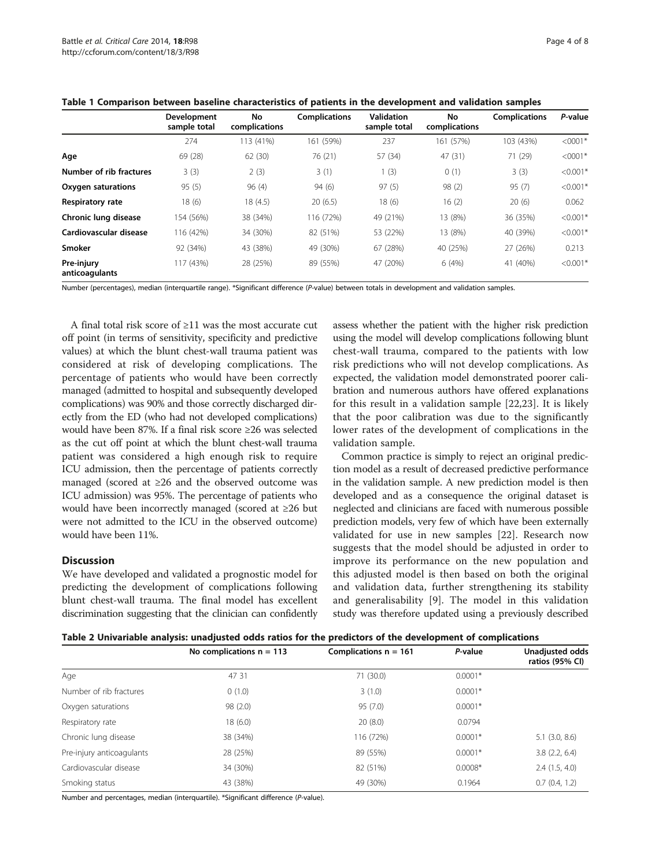|                              | Development<br>sample total | No<br>complications | <b>Complications</b> | <b>Validation</b><br>sample total | No<br>complications | <b>Complications</b> | P-value    |
|------------------------------|-----------------------------|---------------------|----------------------|-----------------------------------|---------------------|----------------------|------------|
|                              | 274                         | 113 (41%)           | 161 (59%)            | 237                               | (57%)<br>161        | 103 (43%)            | $< 0001*$  |
| Age                          | 69 (28)                     | 62(30)              | 76 (21)              | 57 (34)                           | 47(31)              | 71 (29)              | $< 0001*$  |
| Number of rib fractures      | 3(3)                        | 2(3)                | 3(1)                 | 1(3)                              | 0(1)                | 3(3)                 | $< 0.001*$ |
| Oxygen saturations           | 95(5)                       | 96(4)               | 94(6)                | 97(5)                             | 98(2)               | 95(7)                | $< 0.001*$ |
| Respiratory rate             | 18(6)                       | 18(4.5)             | 20(6.5)              | 18(6)                             | 16(2)               | 20(6)                | 0.062      |
| Chronic lung disease         | 154 (56%)                   | 38 (34%)            | 116 (72%)            | 49 (21%)                          | 13 (8%)             | 36 (35%)             | $< 0.001*$ |
| Cardiovascular disease       | 116 (42%)                   | 34 (30%)            | 82 (51%)             | 53 (22%)                          | 13 (8%)             | 40 (39%)             | $< 0.001*$ |
| <b>Smoker</b>                | 92 (34%)                    | 43 (38%)            | 49 (30%)             | 67 (28%)                          | 40 (25%)            | 27 (26%)             | 0.213      |
| Pre-injury<br>anticoagulants | 117 (43%)                   | 28 (25%)            | 89 (55%)             | 47 (20%)                          | 6(4%)               | 41 (40%)             | $< 0.001*$ |

<span id="page-3-0"></span>Table 1 Comparison between baseline characteristics of patients in the development and validation samples

Number (percentages), median (interquartile range). \*Significant difference (P-value) between totals in development and validation samples.

A final total risk score of ≥11 was the most accurate cut off point (in terms of sensitivity, specificity and predictive values) at which the blunt chest-wall trauma patient was considered at risk of developing complications. The percentage of patients who would have been correctly managed (admitted to hospital and subsequently developed complications) was 90% and those correctly discharged directly from the ED (who had not developed complications) would have been 87%. If a final risk score ≥26 was selected as the cut off point at which the blunt chest-wall trauma patient was considered a high enough risk to require ICU admission, then the percentage of patients correctly managed (scored at ≥26 and the observed outcome was ICU admission) was 95%. The percentage of patients who would have been incorrectly managed (scored at ≥26 but were not admitted to the ICU in the observed outcome) would have been 11%.

# **Discussion**

We have developed and validated a prognostic model for predicting the development of complications following blunt chest-wall trauma. The final model has excellent discrimination suggesting that the clinician can confidently assess whether the patient with the higher risk prediction using the model will develop complications following blunt chest-wall trauma, compared to the patients with low risk predictions who will not develop complications. As expected, the validation model demonstrated poorer calibration and numerous authors have offered explanations for this result in a validation sample [\[22](#page-7-0),[23\]](#page-7-0). It is likely that the poor calibration was due to the significantly lower rates of the development of complications in the validation sample.

Common practice is simply to reject an original prediction model as a result of decreased predictive performance in the validation sample. A new prediction model is then developed and as a consequence the original dataset is neglected and clinicians are faced with numerous possible prediction models, very few of which have been externally validated for use in new samples [[22\]](#page-7-0). Research now suggests that the model should be adjusted in order to improve its performance on the new population and this adjusted model is then based on both the original and validation data, further strengthening its stability and generalisability [[9\]](#page-6-0). The model in this validation study was therefore updated using a previously described

| Table 2 Univariable analysis: unadjusted odds ratios for the predictors of the development of complications |  |  |  |  |  |
|-------------------------------------------------------------------------------------------------------------|--|--|--|--|--|
|-------------------------------------------------------------------------------------------------------------|--|--|--|--|--|

|                           | No complications $n = 113$ | Complications $n = 161$ | P-value   | Unadjusted odds<br>ratios (95% CI) |
|---------------------------|----------------------------|-------------------------|-----------|------------------------------------|
| Age                       | 47 31                      | 71 (30.0)               | $0.0001*$ |                                    |
| Number of rib fractures   | 0(1.0)                     | 3(1.0)                  | $0.0001*$ |                                    |
| Oxygen saturations        | 98(2.0)                    | 95(7.0)                 | $0.0001*$ |                                    |
| Respiratory rate          | 18 (6.0)                   | 20(8.0)                 | 0.0794    |                                    |
| Chronic lung disease      | 38 (34%)                   | 116 (72%)               | $0.0001*$ | $5.1$ $(3.0, 8.6)$                 |
| Pre-injury anticoagulants | 28 (25%)                   | 89 (55%)                | $0.0001*$ | 3.8(2.2, 6.4)                      |
| Cardiovascular disease    | 34 (30%)                   | 82 (51%)                | $0.0008*$ | 2.4(1.5, 4.0)                      |
| Smoking status            | 43 (38%)                   | 49 (30%)                | 0.1964    | 0.7(0.4, 1.2)                      |

Number and percentages, median (interquartile). \*Significant difference (P-value).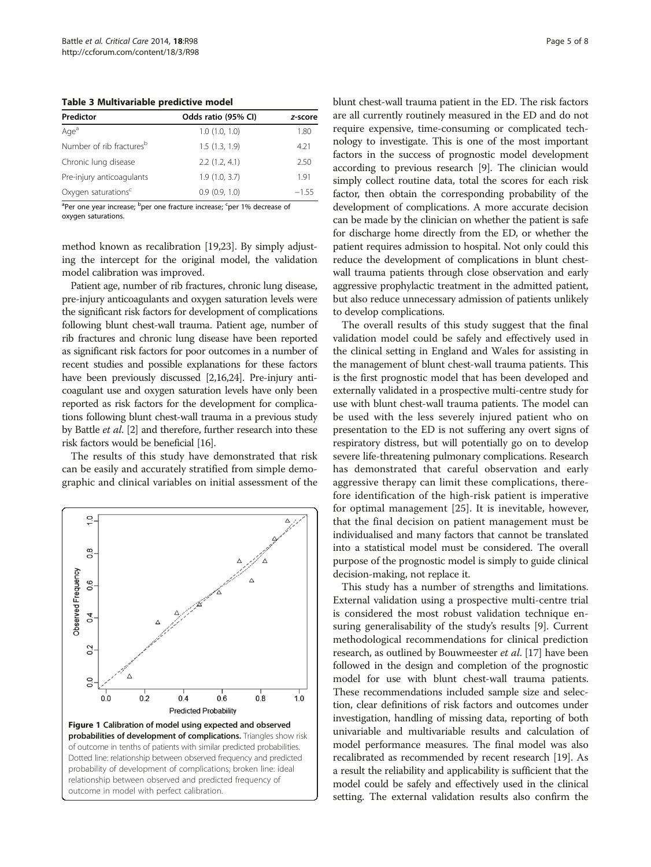<span id="page-4-0"></span>Table 3 Multivariable predictive model

| Predictor                            | Odds ratio (95% CI) | z-score |  |
|--------------------------------------|---------------------|---------|--|
| Age <sup>a</sup>                     | 1.0(1.0, 1.0)       | 1.80    |  |
| Number of rib fractures <sup>b</sup> | 1.5(1.3, 1.9)       | 4.21    |  |
| Chronic lung disease                 | 2.2(1.2, 4.1)       | 2.50    |  |
| Pre-injury anticoagulants            | 1.9(1.0, 3.7)       | 1.91    |  |
| Oxygen saturations <sup>c</sup>      | 0.9(0.9, 1.0)       | $-155$  |  |

<sup>a</sup>Per one year increase; <sup>b</sup>per one fracture increase; <sup>c</sup>per 1% decrease of oxygen saturations.

method known as recalibration [\[19,23\]](#page-7-0). By simply adjusting the intercept for the original model, the validation model calibration was improved.

Patient age, number of rib fractures, chronic lung disease, pre-injury anticoagulants and oxygen saturation levels were the significant risk factors for development of complications following blunt chest-wall trauma. Patient age, number of rib fractures and chronic lung disease have been reported as significant risk factors for poor outcomes in a number of recent studies and possible explanations for these factors have been previously discussed [\[2,16](#page-6-0)[,24\]](#page-7-0). Pre-injury anticoagulant use and oxygen saturation levels have only been reported as risk factors for the development for complications following blunt chest-wall trauma in a previous study by Battle et al. [\[2\]](#page-6-0) and therefore, further research into these risk factors would be beneficial [\[16\]](#page-6-0).

The results of this study have demonstrated that risk can be easily and accurately stratified from simple demographic and clinical variables on initial assessment of the



blunt chest-wall trauma patient in the ED. The risk factors are all currently routinely measured in the ED and do not require expensive, time-consuming or complicated technology to investigate. This is one of the most important factors in the success of prognostic model development according to previous research [[9](#page-6-0)]. The clinician would simply collect routine data, total the scores for each risk factor, then obtain the corresponding probability of the development of complications. A more accurate decision can be made by the clinician on whether the patient is safe for discharge home directly from the ED, or whether the patient requires admission to hospital. Not only could this reduce the development of complications in blunt chestwall trauma patients through close observation and early aggressive prophylactic treatment in the admitted patient, but also reduce unnecessary admission of patients unlikely to develop complications.

The overall results of this study suggest that the final validation model could be safely and effectively used in the clinical setting in England and Wales for assisting in the management of blunt chest-wall trauma patients. This is the first prognostic model that has been developed and externally validated in a prospective multi-centre study for use with blunt chest-wall trauma patients. The model can be used with the less severely injured patient who on presentation to the ED is not suffering any overt signs of respiratory distress, but will potentially go on to develop severe life-threatening pulmonary complications. Research has demonstrated that careful observation and early aggressive therapy can limit these complications, therefore identification of the high-risk patient is imperative for optimal management [\[25](#page-7-0)]. It is inevitable, however, that the final decision on patient management must be individualised and many factors that cannot be translated into a statistical model must be considered. The overall purpose of the prognostic model is simply to guide clinical decision-making, not replace it.

This study has a number of strengths and limitations. External validation using a prospective multi-centre trial is considered the most robust validation technique ensuring generalisability of the study's results [\[9\]](#page-6-0). Current methodological recommendations for clinical prediction research, as outlined by Bouwmeester et al. [\[17](#page-6-0)] have been followed in the design and completion of the prognostic model for use with blunt chest-wall trauma patients. These recommendations included sample size and selection, clear definitions of risk factors and outcomes under investigation, handling of missing data, reporting of both univariable and multivariable results and calculation of model performance measures. The final model was also recalibrated as recommended by recent research [\[19](#page-7-0)]. As a result the reliability and applicability is sufficient that the model could be safely and effectively used in the clinical setting. The external validation results also confirm the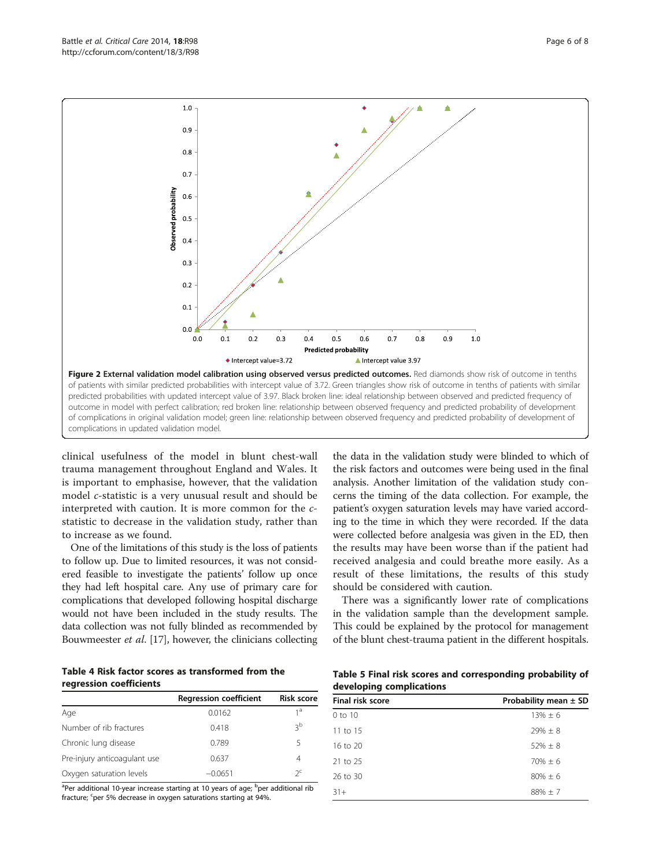<span id="page-5-0"></span>

clinical usefulness of the model in blunt chest-wall trauma management throughout England and Wales. It is important to emphasise, however, that the validation model c-statistic is a very unusual result and should be interpreted with caution. It is more common for the cstatistic to decrease in the validation study, rather than to increase as we found.

One of the limitations of this study is the loss of patients to follow up. Due to limited resources, it was not considered feasible to investigate the patients' follow up once they had left hospital care. Any use of primary care for complications that developed following hospital discharge would not have been included in the study results. The data collection was not fully blinded as recommended by Bouwmeester et al. [\[17\]](#page-6-0), however, the clinicians collecting

Table 4 Risk factor scores as transformed from the regression coefficients

|                              | <b>Regression coefficient</b> | <b>Risk score</b> |
|------------------------------|-------------------------------|-------------------|
| Age                          | 0.0162                        | 1 <sup>a</sup>    |
| Number of rib fractures      | 0.418                         | ζp                |
| Chronic lung disease         | 0.789                         | 5                 |
| Pre-injury anticoagulant use | 0.637                         | 4                 |
| Oxygen saturation levels     | $-0.0651$                     | $2^{\mathsf{c}}$  |

<sup>a</sup>Per additional 10-year increase starting at 10 years of age; <sup>b</sup>per additional rib fracture; <sup>c</sup>per 5% decrease in oxygen saturations starting at 94%.

the data in the validation study were blinded to which of the risk factors and outcomes were being used in the final analysis. Another limitation of the validation study concerns the timing of the data collection. For example, the patient's oxygen saturation levels may have varied according to the time in which they were recorded. If the data were collected before analgesia was given in the ED, then the results may have been worse than if the patient had received analgesia and could breathe more easily. As a result of these limitations, the results of this study should be considered with caution.

There was a significantly lower rate of complications in the validation sample than the development sample. This could be explained by the protocol for management of the blunt chest-trauma patient in the different hospitals.

| Table 5 Final risk scores and corresponding probability of |  |  |
|------------------------------------------------------------|--|--|
| developing complications                                   |  |  |

| Final risk score | Probability mean $\pm$ SD |
|------------------|---------------------------|
| 0 to 10          | $13\% \pm 6$              |
| $11$ to $15$     | $29\% \pm 8$              |
| $16$ to $20$     | $52\% + 8$                |
| $21$ to $25$     | $70% + 6$                 |
| 26 to 30         | $80% + 6$                 |
| $31+$            | $88\% \pm 7$              |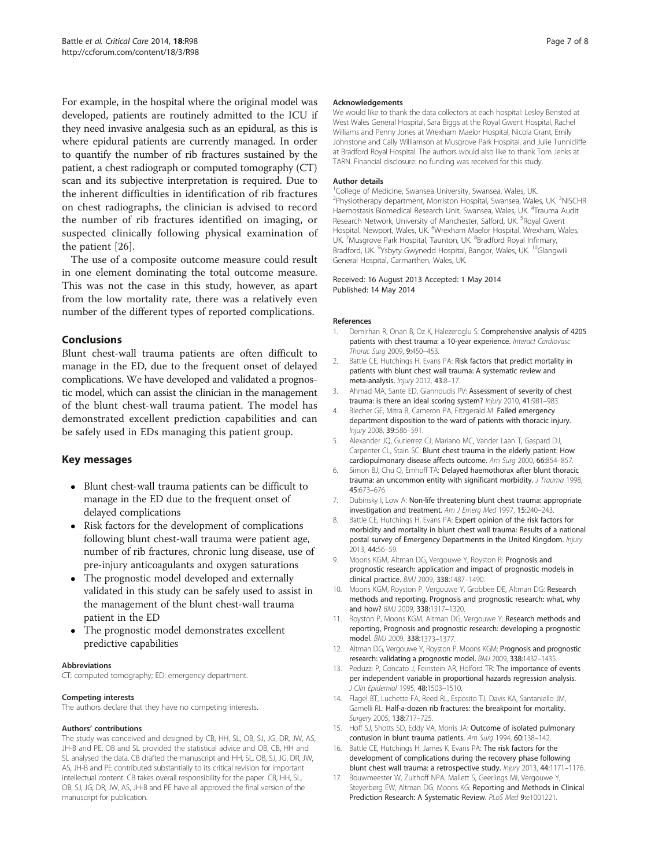<span id="page-6-0"></span>For example, in the hospital where the original model was developed, patients are routinely admitted to the ICU if they need invasive analgesia such as an epidural, as this is where epidural patients are currently managed. In order to quantify the number of rib fractures sustained by the patient, a chest radiograph or computed tomography (CT) scan and its subjective interpretation is required. Due to the inherent difficulties in identification of rib fractures on chest radiographs, the clinician is advised to record the number of rib fractures identified on imaging, or suspected clinically following physical examination of the patient [[26\]](#page-7-0).

The use of a composite outcome measure could result in one element dominating the total outcome measure. This was not the case in this study, however, as apart from the low mortality rate, there was a relatively even number of the different types of reported complications.

# Conclusions

Blunt chest-wall trauma patients are often difficult to manage in the ED, due to the frequent onset of delayed complications. We have developed and validated a prognostic model, which can assist the clinician in the management of the blunt chest-wall trauma patient. The model has demonstrated excellent prediction capabilities and can be safely used in EDs managing this patient group.

# Key messages

- Blunt chest-wall trauma patients can be difficult to manage in the ED due to the frequent onset of delayed complications
- Risk factors for the development of complications following blunt chest-wall trauma were patient age, number of rib fractures, chronic lung disease, use of pre-injury anticoagulants and oxygen saturations
- The prognostic model developed and externally validated in this study can be safely used to assist in the management of the blunt chest-wall trauma patient in the ED
- The prognostic model demonstrates excellent predictive capabilities

#### Abbreviations

CT: computed tomography; ED: emergency department.

#### Competing interests

The authors declare that they have no competing interests.

#### Authors' contributions

The study was conceived and designed by CB, HH, SL, OB, SJ, JG, DR, JW, AS, JH-B and PE. OB and SL provided the statistical advice and OB, CB, HH and SL analysed the data. CB drafted the manuscript and HH, SL, OB, SJ, JG, DR, JW, AS, JH-B and PE contributed substantially to its critical revision for important intellectual content. CB takes overall responsibility for the paper. CB, HH, SL, OB, SJ, JG, DR, JW, AS, JH-B and PE have all approved the final version of the manuscript for publication.

#### Acknowledgements

We would like to thank the data collectors at each hospital: Lesley Bensted at West Wales General Hospital, Sara Biggs at the Royal Gwent Hospital, Rachel Williams and Penny Jones at Wrexham Maelor Hospital, Nicola Grant, Emily Johnstone and Cally Williamson at Musgrove Park Hospital, and Julie Tunnicliffe at Bradford Royal Hospital. The authors would also like to thank Tom Jenks at TARN. Financial disclosure: no funding was received for this study.

#### Author details

<sup>1</sup>College of Medicine, Swansea University, Swansea, Wales, UK <sup>2</sup>Physiotherapy department, Morriston Hospital, Swansea, Wales, UK.<sup>3</sup>NISCHR Haemostasis Biomedical Research Unit, Swansea, Wales, UK. <sup>4</sup>Trauma Audit Research Network, University of Manchester, Salford, UK. <sup>5</sup>Royal Gwent Hospital, Newport, Wales, UK. <sup>6</sup>Wrexham Maelor Hospital, Wrexham, Wales UK. <sup>7</sup> Musgrove Park Hospital, Taunton, UK. <sup>8</sup> Bradford Royal Infirmary Bradford, UK. <sup>9</sup>Ysbyty Gwynedd Hospital, Bangor, Wales, UK. <sup>10</sup>Glangwili General Hospital, Carmarthen, Wales, UK.

#### Received: 16 August 2013 Accepted: 1 May 2014 Published: 14 May 2014

#### References

- 1. Demirhan R, Onan B, Oz K, Halezeroglu S: Comprehensive analysis of 4205 patients with chest trauma: a 10-year experience. Interact Cardiovasc Thorac Surg 2009, 9:450–453.
- 2. Battle CE, Hutchings H, Evans PA: Risk factors that predict mortality in patients with blunt chest wall trauma: A systematic review and meta-analysis. Injury 2012, 43:8–17.
- 3. Ahmad MA, Sante ED, Giannoudis PV: Assessment of severity of chest trauma: is there an ideal scoring system? Injury 2010, 41:981–983.
- 4. Blecher GE, Mitra B, Cameron PA, Fitzgerald M: Failed emergency department disposition to the ward of patients with thoracic injury. Injury 2008, 39:586–591.
- 5. Alexander JQ, Gutierrez CJ, Mariano MC, Vander Laan T, Gaspard DJ, Carpenter CL, Stain SC: Blunt chest trauma in the elderly patient: How cardiopulmonary disease affects outcome. Am Surg 2000, 66:854–857.
- 6. Simon BJ, Chu Q, Emhoff TA: Delayed haemothorax after blunt thoracic trauma: an uncommon entity with significant morbidity. J Trauma 1998, 45:673–676.
- 7. Dubinsky I, Low A: Non-life threatening blunt chest trauma: appropriate investigation and treatment. Am J Emerg Med 1997, 15:240–243.
- 8. Battle CE, Hutchings H, Evans PA: Expert opinion of the risk factors for morbidity and mortality in blunt chest wall trauma: Results of a national postal survey of Emergency Departments in the United Kingdom. Injury 2013, 44:56–59.
- 9. Moons KGM, Altman DG, Vergouwe Y, Royston R: Prognosis and prognostic research: application and impact of prognostic models in clinical practice. BMJ 2009, 338:1487–1490.
- 10. Moons KGM, Royston P, Vergouwe Y, Grobbee DE, Altman DG: Research methods and reporting. Prognosis and prognostic research: what, why and how? BMJ 2009, 338:1317–1320.
- 11. Royston P, Moons KGM, Altman DG, Vergouwe Y: Research methods and reporting, Prognosis and prognostic research: developing a prognostic model. BMJ 2009, 338:1373–1377.
- 12. Altman DG, Vergouwe Y, Royston P, Moons KGM: Prognosis and prognostic research: validating a prognostic model. BMJ 2009, 338:1432–1435.
- 13. Peduzzi P, Concato J, Feinstein AR, Holford TR: The importance of events per independent variable in proportional hazards regression analysis. J Clin Epidemiol 1995, 48:1503–1510.
- 14. Flagel BT, Luchette FA, Reed RL, Esposito TJ, Davis KA, Santaniello JM, Gamelli RL: Half-a-dozen rib fractures: the breakpoint for mortality. Surgery 2005, 138:717–725.
- 15. Hoff SJ, Shotts SD, Eddy VA, Morris JA: Outcome of isolated pulmonary contusion in blunt trauma patients. Am Surg 1994, 60:138–142.
- 16. Battle CE, Hutchings H, James K, Evans PA: The risk factors for the development of complications during the recovery phase following blunt chest wall trauma: a retrospective study. Injury 2013, 44:1171–1176.
- 17. Bouwmeester W, Zuithoff NPA, Mallett S, Geerlings MI, Vergouwe Y, Steyerberg EW, Altman DG, Moons KG: Reporting and Methods in Clinical Prediction Research: A Systematic Review. PLoS Med 9:e1001221.